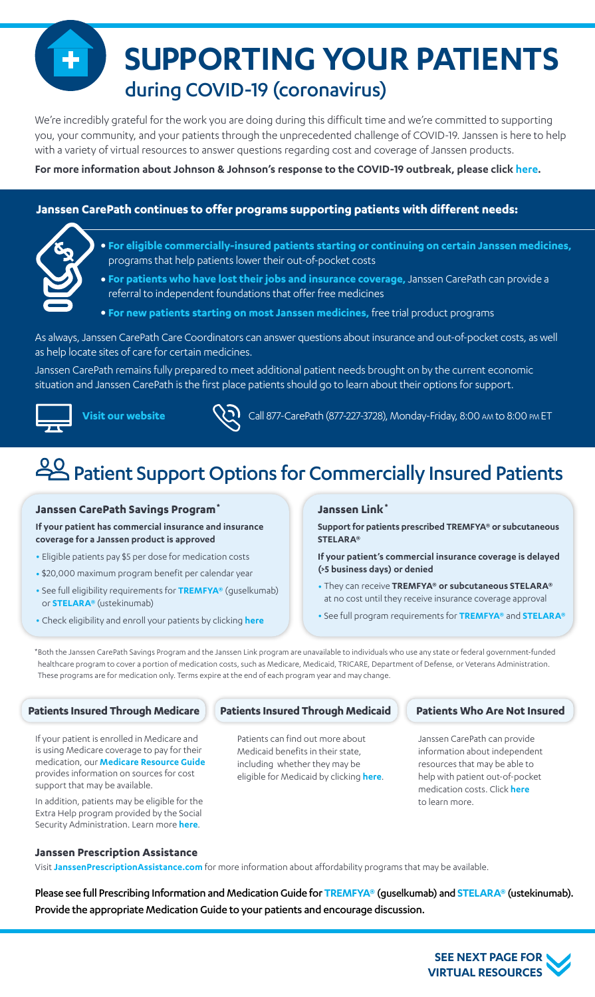**SUPPORTING YOUR PATIENTS** during COVID-19 (coronavirus)

We're incredibly grateful for the work you are doing during this difficult time and we're committed to supporting you, your community, and your patients through the unprecedented challenge of COVID-19. Janssen is here to help with a variety of virtual resources to answer questions regarding cost and coverage of Janssen products.

**For more information about Johnson & Johnson's response to the COVID-19 outbreak, please click [here.](https://www.jnj.com/coronavirus)**

### **Janssen CarePath continues to offer programs supporting patients with different needs:**



- **• For eligible commercially-insured patients starting or continuing on certain Janssen medicines,**  programs that help patients lower their out-of-pocket costs
- **• For patients who have lost their jobs and insurance coverage,** Janssen CarePath can provide a referral to independent foundations that offer free medicines
- **• For new patients starting on most Janssen medicines,** free trial product programs

As always, Janssen CarePath Care Coordinators can answer questions about insurance and out-of-pocket costs, as well as help locate sites of care for certain medicines.

Janssen CarePath remains fully prepared to meet additional patient needs brought on by the current economic situation and Janssen CarePath is the first place patients should go to learn about their options for support.



**Vi[sit our website](https://www.janssencarepath.com/) CAL** Call 877-CarePath (877-227-3728), Monday-Friday, 8:00 AM to 8:00 PM ET

# Patient Support Options for Commercially Insured Patients

#### **Janssen CarePath Savings Program\***

**If your patient has commercial insurance and insurance coverage for a Janssen product is approved**

- Eligible patients pay \$5 per dose for medication costs
- \$20,000 maximum program benefit per calendar year
- See full eligibility requirements for **[TREMFYA®](https://www.janssencarepath.com/sites/www.janssencarepath.com/files/tremfya-savings-program-overview.pdf)** (guselkumab) or **[STELARA®](https://Stelara.JanssenCarePathSavings.com)** (ustekinumab)
- Check eligibility and enroll your patients by clicking **[here](https://www.janssencarepathportal.com/s/login/)**

#### **Janssen Link\***

**Support for patients prescribed TREMFYA® or subcutaneous STELARA®** 

**If your patient's commercial insurance coverage is delayed (>5 business days) or denied**

- They can receive **TREMFYA® or subcutaneous STELARA®** at no cost until they receive insurance coverage approval
- See full program requirements for **[TREMFYA®](https://www.janssencarepath.com/hcp/tremfya/insurance-coverage/janssen-link)** and **[STELARA®](https://www.janssencarepath.com/hcp/stelara/insurance-coverage/janssen-link)**

\*Both the Janssen CarePath Savings Program and the Janssen Link program are unavailable to individuals who use any state or federal government-funded healthcare program to cover a portion of medication costs, such as Medicare, Medicaid, TRICARE, Department of Defense, or Veterans Administration. These programs are for medication only. Terms expire at the end of each program year and may change.

If your patient is enrolled in Medicare and is using Medicare coverage to pay for their medication, our **[Medicare Resource Guide](https://www.janssencarepath.com/sites/www.janssencarepath.com/files/medicare-resource-guide.pdf)** provides information on sources for cost support that may be available.

In addition, patients may be eligible for the Extra Help program provided by the Social Security Administration. Learn more **[here](https://www.ssa.gov/benefits/medicare/prescriptionhelp/)**.

### **Patients Insured Through Medicare Patients Insured Through Medicaid**

Patients can find out more about Medicaid benefits in their state, including whether they may be eligible for Medicaid by clicking **[here](https://www.healthcare.gov/medicaid-chip/)**.

#### **Patients Who Are Not Insured**

Janssen CarePath can provide information about independent resources that may be able to help with patient out-of-pocket medication costs. Click **[here](www.janssenprescriptionassistance.com/)** to learn more.

#### **Janssen Prescription Assistance**

Visit **[JanssenPrescriptionAssistance.com](https://www.janssenprescriptionassistance.com/)** for more information about affordability programs that may be available.

Please see full Prescribing Information and Medication Guide for **[TREMFYA®](http://www.janssenlabels.com/package-insert/product-monograph/prescribing-information/TREMFYA-pi.pdf)** (guselkumab) and **[STELARA®](http://www.janssenlabels.com/package-insert/product-monograph/prescribing-information/STELARA-pi.pdf)** (ustekinumab). Provide the appropriate Medication Guide to your patients and encourage discussion.

> **SEE NEXT PAGE FOR [VIRTUAL RESOURCES](#page-1-0)**